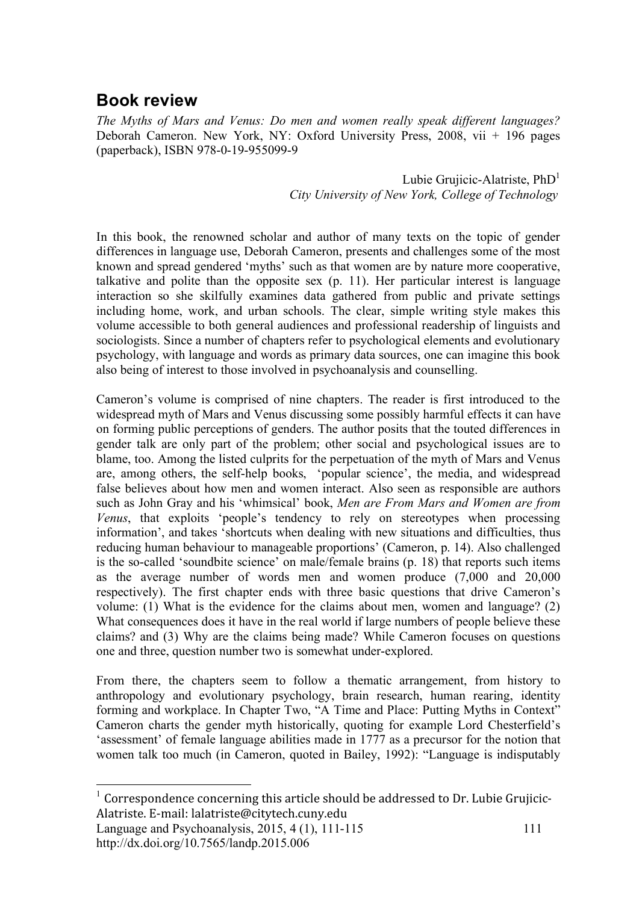## **Book review**

*The Myths of Mars and Venus: Do men and women really speak different languages?*  Deborah Cameron. New York, NY: Oxford University Press, 2008, vii + 196 pages (paperback), ISBN 978-0-19-955099-9

> Lubie Grujicic-Alatriste,  $PhD<sup>1</sup>$ *City University of New York, College of Technology*

In this book, the renowned scholar and author of many texts on the topic of gender differences in language use, Deborah Cameron, presents and challenges some of the most known and spread gendered 'myths' such as that women are by nature more cooperative, talkative and polite than the opposite sex (p. 11). Her particular interest is language interaction so she skilfully examines data gathered from public and private settings including home, work, and urban schools. The clear, simple writing style makes this volume accessible to both general audiences and professional readership of linguists and sociologists. Since a number of chapters refer to psychological elements and evolutionary psychology, with language and words as primary data sources, one can imagine this book also being of interest to those involved in psychoanalysis and counselling.

Cameron's volume is comprised of nine chapters. The reader is first introduced to the widespread myth of Mars and Venus discussing some possibly harmful effects it can have on forming public perceptions of genders. The author posits that the touted differences in gender talk are only part of the problem; other social and psychological issues are to blame, too. Among the listed culprits for the perpetuation of the myth of Mars and Venus are, among others, the self-help books, 'popular science', the media, and widespread false believes about how men and women interact. Also seen as responsible are authors such as John Gray and his 'whimsical' book, *Men are From Mars and Women are from Venus*, that exploits 'people's tendency to rely on stereotypes when processing information', and takes 'shortcuts when dealing with new situations and difficulties, thus reducing human behaviour to manageable proportions' (Cameron, p. 14). Also challenged is the so-called 'soundbite science' on male/female brains (p. 18) that reports such items as the average number of words men and women produce (7,000 and 20,000 respectively). The first chapter ends with three basic questions that drive Cameron's volume: (1) What is the evidence for the claims about men, women and language? (2) What consequences does it have in the real world if large numbers of people believe these claims? and (3) Why are the claims being made? While Cameron focuses on questions one and three, question number two is somewhat under-explored.

From there, the chapters seem to follow a thematic arrangement, from history to anthropology and evolutionary psychology, brain research, human rearing, identity forming and workplace. In Chapter Two, "A Time and Place: Putting Myths in Context" Cameron charts the gender myth historically, quoting for example Lord Chesterfield's 'assessment' of female language abilities made in 1777 as a precursor for the notion that women talk too much (in Cameron, quoted in Bailey, 1992): "Language is indisputably

<sup>&</sup>lt;sup>1</sup> Correspondence concerning this article should be addressed to Dr. Lubie Grujicic-Alatriste.
E‐mail:
lalatriste@citytech.cuny.edu

Language and Psychoanalysis, 2015, 4 (1), 111-115 http://dx.doi.org/10.7565/landp.2015.006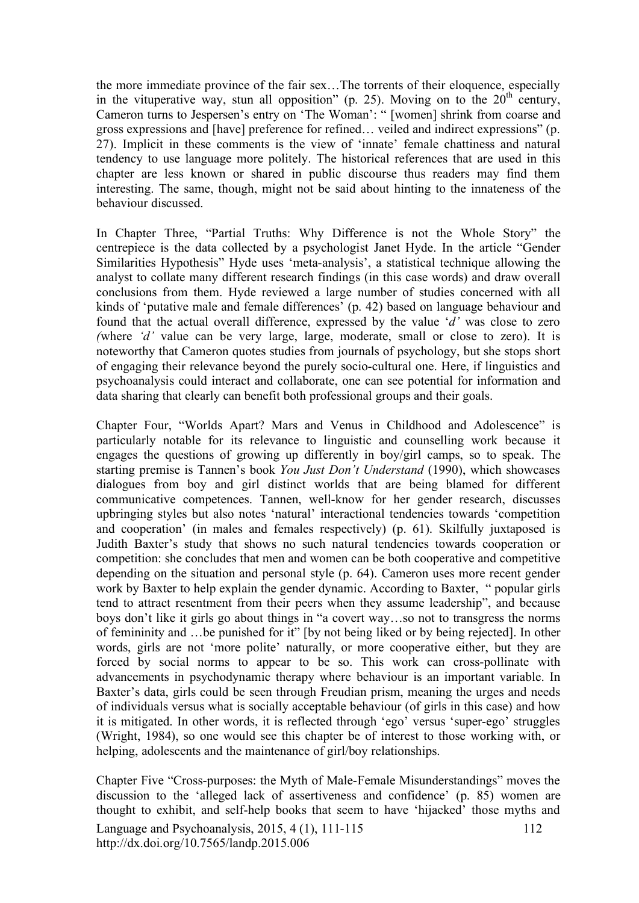the more immediate province of the fair sex…The torrents of their eloquence, especially in the vituperative way, stun all opposition" (p. 25). Moving on to the  $20<sup>th</sup>$  century, Cameron turns to Jespersen's entry on 'The Woman': " [women] shrink from coarse and gross expressions and [have] preference for refined… veiled and indirect expressions" (p. 27). Implicit in these comments is the view of 'innate' female chattiness and natural tendency to use language more politely. The historical references that are used in this chapter are less known or shared in public discourse thus readers may find them interesting. The same, though, might not be said about hinting to the innateness of the behaviour discussed.

In Chapter Three, "Partial Truths: Why Difference is not the Whole Story" the centrepiece is the data collected by a psychologist Janet Hyde. In the article "Gender Similarities Hypothesis" Hyde uses 'meta-analysis', a statistical technique allowing the analyst to collate many different research findings (in this case words) and draw overall conclusions from them. Hyde reviewed a large number of studies concerned with all kinds of 'putative male and female differences' (p. 42) based on language behaviour and found that the actual overall difference, expressed by the value '*d'* was close to zero *(*where *'d'* value can be very large, large, moderate, small or close to zero). It is noteworthy that Cameron quotes studies from journals of psychology, but she stops short of engaging their relevance beyond the purely socio-cultural one. Here, if linguistics and psychoanalysis could interact and collaborate, one can see potential for information and data sharing that clearly can benefit both professional groups and their goals.

Chapter Four, "Worlds Apart? Mars and Venus in Childhood and Adolescence" is particularly notable for its relevance to linguistic and counselling work because it engages the questions of growing up differently in boy/girl camps, so to speak. The starting premise is Tannen's book *You Just Don't Understand* (1990), which showcases dialogues from boy and girl distinct worlds that are being blamed for different communicative competences. Tannen, well-know for her gender research, discusses upbringing styles but also notes 'natural' interactional tendencies towards 'competition and cooperation' (in males and females respectively) (p. 61). Skilfully juxtaposed is Judith Baxter's study that shows no such natural tendencies towards cooperation or competition: she concludes that men and women can be both cooperative and competitive depending on the situation and personal style (p. 64). Cameron uses more recent gender work by Baxter to help explain the gender dynamic. According to Baxter, " popular girls tend to attract resentment from their peers when they assume leadership", and because boys don't like it girls go about things in "a covert way…so not to transgress the norms of femininity and …be punished for it" [by not being liked or by being rejected]. In other words, girls are not 'more polite' naturally, or more cooperative either, but they are forced by social norms to appear to be so. This work can cross-pollinate with advancements in psychodynamic therapy where behaviour is an important variable. In Baxter's data, girls could be seen through Freudian prism, meaning the urges and needs of individuals versus what is socially acceptable behaviour (of girls in this case) and how it is mitigated. In other words, it is reflected through 'ego' versus 'super-ego' struggles (Wright, 1984), so one would see this chapter be of interest to those working with, or helping, adolescents and the maintenance of girl/boy relationships.

Language and Psychoanalysis, 2015, 4 (1), 111-115 http://dx.doi.org/10.7565/landp.2015.006 112 Chapter Five "Cross-purposes: the Myth of Male-Female Misunderstandings" moves the discussion to the 'alleged lack of assertiveness and confidence' (p. 85) women are thought to exhibit, and self-help books that seem to have 'hijacked' those myths and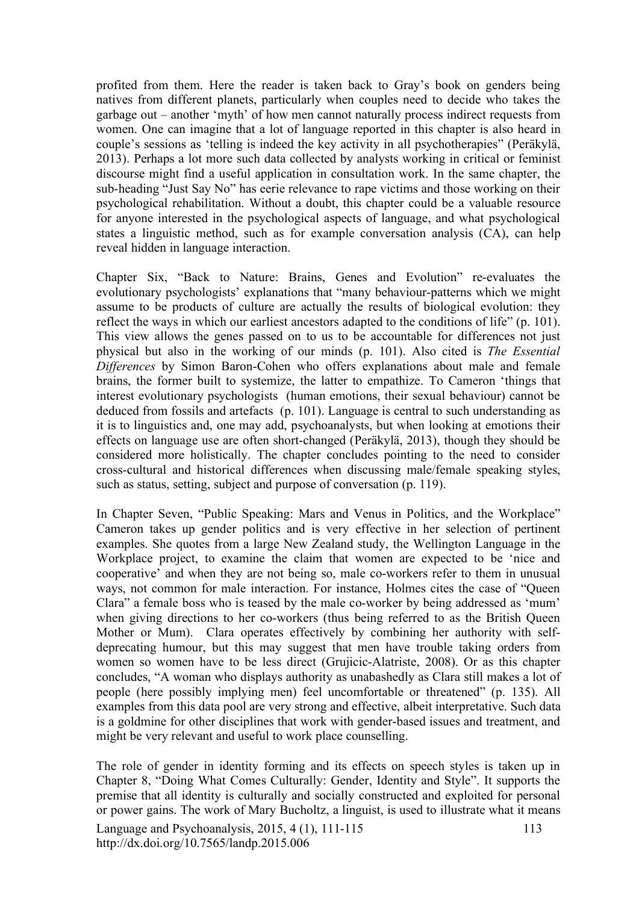profited from them. Here the reader is taken back to Gray's book on genders being natives from different planets, particularly when couples need to decide who takes the garbage out – another 'myth' of how men cannot naturally process indirect requests from women. One can imagine that a lot of language reported in this chapter is also heard in couple's sessions as 'telling is indeed the key activity in all psychotherapies" (Peräkylä, 2013). Perhaps a lot more such data collected by analysts working in critical or feminist discourse might find a useful application in consultation work. In the same chapter, the sub-heading "Just Say No" has eerie relevance to rape victims and those working on their psychological rehabilitation. Without a doubt, this chapter could be a valuable resource for anyone interested in the psychological aspects of language, and what psychological states a linguistic method, such as for example conversation analysis (CA), can help reveal hidden in language interaction.

Chapter Six, "Back to Nature: Brains, Genes and Evolution" re-evaluates the evolutionary psychologists' explanations that "many behaviour-patterns which we might assume to be products of culture are actually the results of biological evolution: they reflect the ways in which our earliest ancestors adapted to the conditions of life" (p. 101). This view allows the genes passed on to us to be accountable for differences not just physical but also in the working of our minds (p. 101). Also cited is *The Essential Differences* by Simon Baron-Cohen who offers explanations about male and female brains, the former built to systemize, the latter to empathize. To Cameron 'things that interest evolutionary psychologists (human emotions, their sexual behaviour) cannot be deduced from fossils and artefacts (p. 101). Language is central to such understanding as it is to linguistics and, one may add, psychoanalysts, but when looking at emotions their effects on language use are often short-changed (Peräkylä, 2013), though they should be considered more holistically. The chapter concludes pointing to the need to consider cross-cultural and historical differences when discussing male/female speaking styles, such as status, setting, subject and purpose of conversation (p. 119).

In Chapter Seven, "Public Speaking: Mars and Venus in Politics, and the Workplace" Cameron takes up gender politics and is very effective in her selection of pertinent examples. She quotes from a large New Zealand study, the Wellington Language in the Workplace project, to examine the claim that women are expected to be 'nice and cooperative' and when they are not being so, male co-workers refer to them in unusual ways, not common for male interaction. For instance, Holmes cites the case of "Queen Clara" a female boss who is teased by the male co-worker by being addressed as 'mum' when giving directions to her co-workers (thus being referred to as the British Queen Mother or Mum). Clara operates effectively by combining her authority with selfdeprecating humour, but this may suggest that men have trouble taking orders from women so women have to be less direct (Grujicic-Alatriste, 2008). Or as this chapter concludes, "A woman who displays authority as unabashedly as Clara still makes a lot of people (here possibly implying men) feel uncomfortable or threatened" (p. 135). All examples from this data pool are very strong and effective, albeit interpretative. Such data is a goldmine for other disciplines that work with gender-based issues and treatment, and might be very relevant and useful to work place counselling.

Language and Psychoanalysis, 2015, 4 (1), 111-115 http://dx.doi.org/10.7565/landp.2015.006 113 The role of gender in identity forming and its effects on speech styles is taken up in Chapter 8, "Doing What Comes Culturally: Gender, Identity and Style". It supports the premise that all identity is culturally and socially constructed and exploited for personal or power gains. The work of Mary Bucholtz, a linguist, is used to illustrate what it means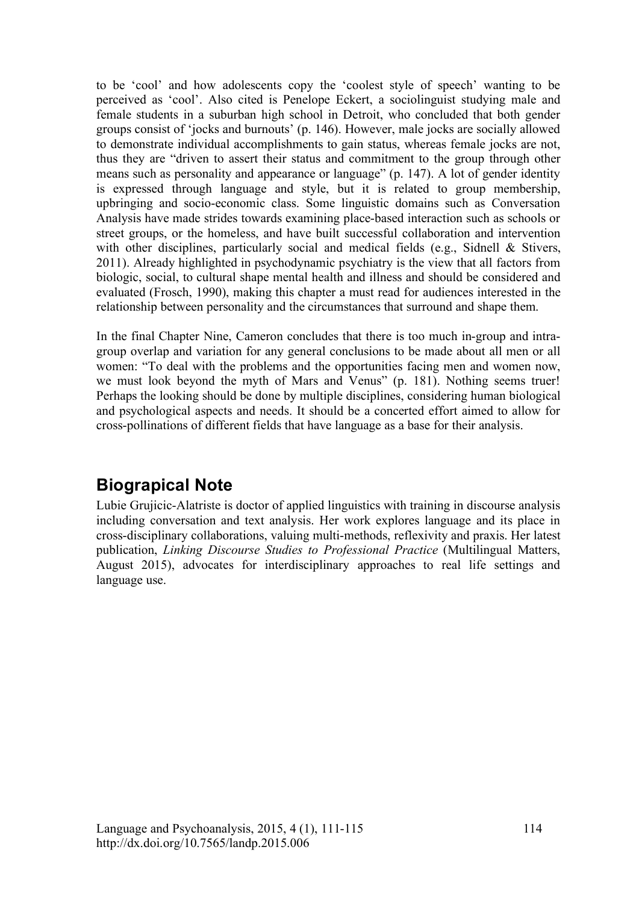to be 'cool' and how adolescents copy the 'coolest style of speech' wanting to be perceived as 'cool'. Also cited is Penelope Eckert, a sociolinguist studying male and female students in a suburban high school in Detroit, who concluded that both gender groups consist of 'jocks and burnouts' (p. 146). However, male jocks are socially allowed to demonstrate individual accomplishments to gain status, whereas female jocks are not, thus they are "driven to assert their status and commitment to the group through other means such as personality and appearance or language" (p. 147). A lot of gender identity is expressed through language and style, but it is related to group membership, upbringing and socio-economic class. Some linguistic domains such as Conversation Analysis have made strides towards examining place-based interaction such as schools or street groups, or the homeless, and have built successful collaboration and intervention with other disciplines, particularly social and medical fields (e.g., Sidnell & Stivers, 2011). Already highlighted in psychodynamic psychiatry is the view that all factors from biologic, social, to cultural shape mental health and illness and should be considered and evaluated (Frosch, 1990), making this chapter a must read for audiences interested in the relationship between personality and the circumstances that surround and shape them.

In the final Chapter Nine, Cameron concludes that there is too much in-group and intragroup overlap and variation for any general conclusions to be made about all men or all women: "To deal with the problems and the opportunities facing men and women now, we must look beyond the myth of Mars and Venus" (p. 181). Nothing seems truer! Perhaps the looking should be done by multiple disciplines, considering human biological and psychological aspects and needs. It should be a concerted effort aimed to allow for cross-pollinations of different fields that have language as a base for their analysis.

## **Biograpical Note**

Lubie Grujicic-Alatriste is doctor of applied linguistics with training in discourse analysis including conversation and text analysis. Her work explores language and its place in cross-disciplinary collaborations, valuing multi-methods, reflexivity and praxis. Her latest publication, *Linking Discourse Studies to Professional Practice* (Multilingual Matters, August 2015), advocates for interdisciplinary approaches to real life settings and language use.